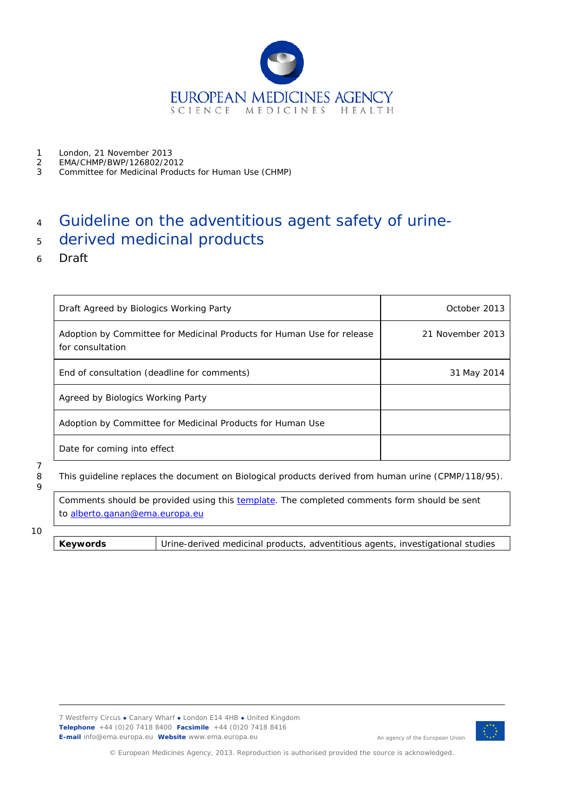

- 1 London, 21 November 2013<br>2 EMA/CHMP/BWP/126802/20
- 2 EMA/CHMP/BWP/126802/2012
- 3 Committee for Medicinal Products for Human Use (CHMP)

# <sup>4</sup> Guideline on the adventitious agent safety of urine-

## <sup>5</sup> derived medicinal products

6 Draft

| Draft Agreed by Biologics Working Party                                                    | October 2013     |
|--------------------------------------------------------------------------------------------|------------------|
| Adoption by Committee for Medicinal Products for Human Use for release<br>for consultation | 21 November 2013 |
| End of consultation (deadline for comments)                                                | 31 May 2014      |
| Agreed by Biologics Working Party                                                          |                  |
| Adoption by Committee for Medicinal Products for Human Use                                 |                  |
| Date for coming into effect                                                                |                  |

7  $\overline{Q}$ 

8 This guideline replaces the document on Biological products derived from human urine (CPMP/118/95).

Comments should be provided using this [template.](http://www.ema.europa.eu/docs/en_GB/document_library/Template_or_form/2009/10/WC500004016.doc) The completed comments form should be sent to [alberto.ganan@ema.europa.eu](mailto:alberto.ganan@ema.europa.eu)

#### 10

**Keywords** Urine-derived medicinal products, adventitious agents, investigational studies



An agency of the European Union

© European Medicines Agency, 2013. Reproduction is authorised provided the source is acknowledged.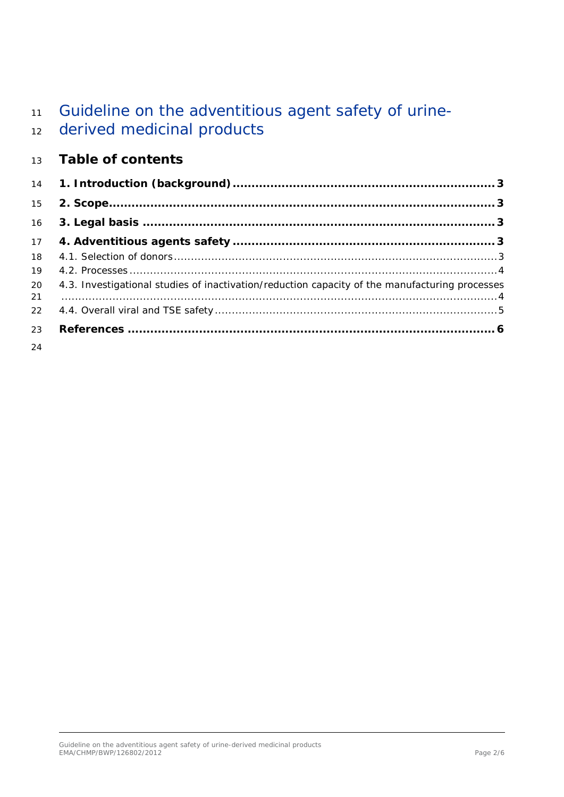# 11 Guideline on the adventitious agent safety of urine-

# derived medicinal products

## **Table of contents**

| 15       |                                                                                                |
|----------|------------------------------------------------------------------------------------------------|
| 16       |                                                                                                |
| 17       |                                                                                                |
| 18       |                                                                                                |
| 19       |                                                                                                |
| 20<br>21 | 4.3. Investigational studies of inactivation/reduction capacity of the manufacturing processes |
| 22       |                                                                                                |
| 23       |                                                                                                |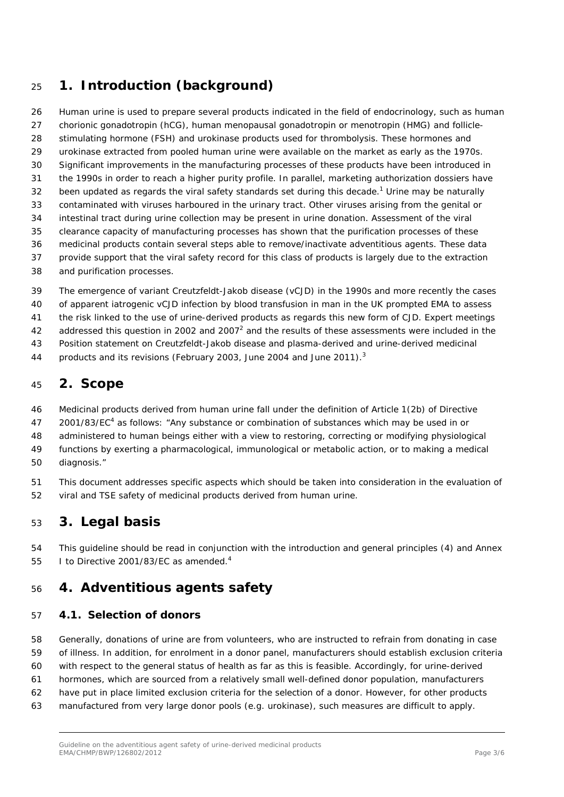## <span id="page-2-0"></span>**1. Introduction (background)**

 Human urine is used to prepare several products indicated in the field of endocrinology, such as human chorionic gonadotropin (hCG), human menopausal gonadotropin or menotropin (HMG) and follicle- stimulating hormone (FSH) and urokinase products used for thrombolysis. These hormones and urokinase extracted from pooled human urine were available on the market as early as the 1970s. Significant improvements in the manufacturing processes of these products have been introduced in the 1990s in order to reach a higher purity profile. In parallel, marketing authorization dossiers have 32 been updated as regards the viral safety standards set during this decade.<sup>1</sup> Urine may be naturally contaminated with viruses harboured in the urinary tract. Other viruses arising from the genital or intestinal tract during urine collection may be present in urine donation. Assessment of the viral clearance capacity of manufacturing processes has shown that the purification processes of these medicinal products contain several steps able to remove/inactivate adventitious agents. These data provide support that the viral safety record for this class of products is largely due to the extraction and purification processes.

 The emergence of variant Creutzfeldt-Jakob disease (vCJD) in the 1990s and more recently the cases of apparent iatrogenic vCJD infection by blood transfusion in man in the UK prompted EMA to assess the risk linked to the use of urine-derived products as regards this new form of CJD. Expert meetings 42 addressed this question in 2002 and 2007<sup>2</sup> and the results of these assessments were included in the Position statement on Creutzfeldt-Jakob disease and plasma-derived and urine-derived medicinal

44 products and its revisions (February 2003, June 2004 and June 2011).<sup>3</sup>

## <span id="page-2-1"></span>**2. Scope**

 Medicinal products derived from human urine fall under the definition of Article 1(2b) of Directive 47 2001/83/EC<sup>4</sup> as follows: "Any substance or combination of substances which may be used in or administered to human beings either with a view to restoring, correcting or modifying physiological functions by exerting a pharmacological, immunological or metabolic action, or to making a medical diagnosis."

 This document addresses specific aspects which should be taken into consideration in the evaluation of viral and TSE safety of medicinal products derived from human urine.

## <span id="page-2-2"></span>**3. Legal basis**

 This guideline should be read in conjunction with the introduction and general principles (4) and Annex 55 I to Directive 2001/83/EC as amended.<sup>4</sup>

## <span id="page-2-3"></span>**4. Adventitious agents safety**

#### <span id="page-2-4"></span>*4.1. Selection of donors*

 Generally, donations of urine are from volunteers, who are instructed to refrain from donating in case of illness. In addition, for enrolment in a donor panel, manufacturers should establish exclusion criteria with respect to the general status of health as far as this is feasible. Accordingly, for urine-derived hormones, which are sourced from a relatively small well-defined donor population, manufacturers have put in place limited exclusion criteria for the selection of a donor. However, for other products manufactured from very large donor pools (e.g. urokinase), such measures are difficult to apply.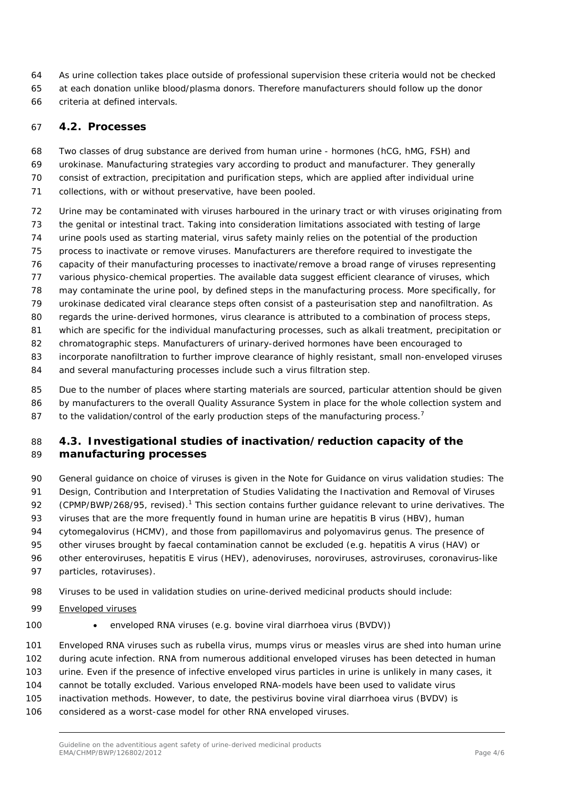- As urine collection takes place outside of professional supervision these criteria would not be checked
- at each donation unlike blood/plasma donors. Therefore manufacturers should follow up the donor
- criteria at defined intervals.

### <span id="page-3-0"></span>*4.2. Processes*

 Two classes of drug substance are derived from human urine - hormones (hCG, hMG, FSH) and urokinase. Manufacturing strategies vary according to product and manufacturer. They generally consist of extraction, precipitation and purification steps, which are applied after individual urine

- collections, with or without preservative, have been pooled.
- Urine may be contaminated with viruses harboured in the urinary tract or with viruses originating from the genital or intestinal tract. Taking into consideration limitations associated with testing of large
- urine pools used as starting material, virus safety mainly relies on the potential of the production
- process to inactivate or remove viruses. Manufacturers are therefore required to investigate the
- capacity of their manufacturing processes to inactivate/remove a broad range of viruses representing
- various physico-chemical properties. The available data suggest efficient clearance of viruses, which
- may contaminate the urine pool, by defined steps in the manufacturing process. More specifically, for urokinase dedicated viral clearance steps often consist of a pasteurisation step and nanofiltration. As
- regards the urine-derived hormones, virus clearance is attributed to a combination of process steps,
- which are specific for the individual manufacturing processes, such as alkali treatment, precipitation or
- chromatographic steps. Manufacturers of urinary-derived hormones have been encouraged to
- incorporate nanofiltration to further improve clearance of highly resistant, small non-enveloped viruses
- and several manufacturing processes include such a virus filtration step.
- 85 Due to the number of places where starting materials are sourced, particular attention should be given by manufacturers to the overall Quality Assurance System in place for the whole collection system and 87 to the validation/control of the early production steps of the manufacturing process.<sup>7</sup>

#### <span id="page-3-1"></span> *4.3. Investigational studies of inactivation/reduction capacity of the manufacturing processes*

- General guidance on choice of viruses is given in the *Note for Guidance on virus validation studies: The*
- *Design, Contribution and Interpretation of Studies Validating the Inactivation and Removal of Viruses*
- (CPMP/BWP/268/95, revised).<sup>1</sup> This section contains further guidance relevant to urine derivatives. The
- viruses that are the more frequently found in human urine are hepatitis B virus (HBV), human
- cytomegalovirus (HCMV), and those from papillomavirus and polyomavirus genus. The presence of
- other viruses brought by faecal contamination cannot be excluded (e.g. hepatitis A virus (HAV) or
- other enteroviruses, hepatitis E virus (HEV), adenoviruses, noroviruses, astroviruses, coronavirus-like
- particles, rotaviruses).
- Viruses to be used in validation studies on urine-derived medicinal products should include:
- Enveloped viruses
- 
- 100 enveloped RNA viruses (e.g. bovine viral diarrhoea virus (BVDV))
- Enveloped RNA viruses such as rubella virus, mumps virus or measles virus are shed into human urine during acute infection. RNA from numerous additional enveloped viruses has been detected in human
- urine. Even if the presence of infective enveloped virus particles in urine is unlikely in many cases, it
- cannot be totally excluded. Various enveloped RNA-models have been used to validate virus
- inactivation methods. However, to date, the pestivirus bovine viral diarrhoea virus (BVDV) is
- considered as a worst-case model for other RNA enveloped viruses.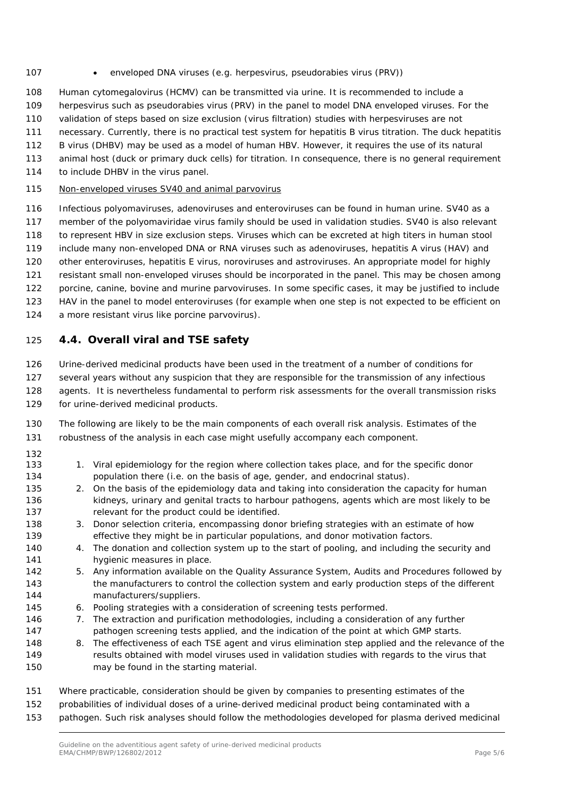- 107 enveloped DNA viruses (e.g. herpesvirus, pseudorabies virus (PRV))
- Human cytomegalovirus (HCMV) can be transmitted via urine. It is recommended to include a
- herpesvirus such as pseudorabies virus (PRV) in the panel to model DNA enveloped viruses. For the
- validation of steps based on size exclusion (virus filtration) studies with herpesviruses are not
- necessary. Currently, there is no practical test system for hepatitis B virus titration. The duck hepatitis
- B virus (DHBV) may be used as a model of human HBV. However, it requires the use of its natural
- animal host (duck or primary duck cells) for titration. In consequence, there is no general requirement
- 114 to include DHBV in the virus panel.
- Non-enveloped viruses SV40 and animal parvovirus
- Infectious polyomaviruses, adenoviruses and enteroviruses can be found in human urine. SV40 as a member of the polyomaviridae virus family should be used in validation studies. SV40 is also relevant to represent HBV in size exclusion steps. Viruses which can be excreted at high titers in human stool include many non-enveloped DNA or RNA viruses such as adenoviruses, hepatitis A virus (HAV) and other enteroviruses, hepatitis E virus, noroviruses and astroviruses. An appropriate model for highly resistant small non-enveloped viruses should be incorporated in the panel. This may be chosen among porcine, canine, bovine and murine parvoviruses. In some specific cases, it may be justified to include HAV in the panel to model enteroviruses (for example when one step is not expected to be efficient on a more resistant virus like porcine parvovirus).

#### <span id="page-4-0"></span>*4.4. Overall viral and TSE safety*

Urine-derived medicinal products have been used in the treatment of a number of conditions for

- several years without any suspicion that they are responsible for the transmission of any infectious agents. It is nevertheless fundamental to perform risk assessments for the overall transmission risks
- for urine-derived medicinal products.
- The following are likely to be the main components of each overall risk analysis. Estimates of the robustness of the analysis in each case might usefully accompany each component.
- 
- 133 1. Viral epidemiology for the region where collection takes place, and for the specific donor population there (i.e. on the basis of age, gender, and endocrinal status).
- 2. On the basis of the epidemiology data and taking into consideration the capacity for human 136 kidneys, urinary and genital tracts to harbour pathogens, agents which are most likely to be 137 relevant for the product could be identified.
- 3. Donor selection criteria, encompassing donor briefing strategies with an estimate of how effective they might be in particular populations, and donor motivation factors.
- 4. The donation and collection system up to the start of pooling, and including the security and 141 hygienic measures in place.
- 5. Any information available on the Quality Assurance System, Audits and Procedures followed by 143 the manufacturers to control the collection system and early production steps of the different manufacturers/suppliers.
- 6. Pooling strategies with a consideration of screening tests performed.
- 7. The extraction and purification methodologies, including a consideration of any further pathogen screening tests applied, and the indication of the point at which GMP starts.
- 8. The effectiveness of each TSE agent and virus elimination step applied and the relevance of the results obtained with model viruses used in validation studies with regards to the virus that may be found in the starting material.
- Where practicable, consideration should be given by companies to presenting estimates of the
- probabilities of individual doses of a urine-derived medicinal product being contaminated with a
- pathogen. Such risk analyses should follow the methodologies developed for plasma derived medicinal